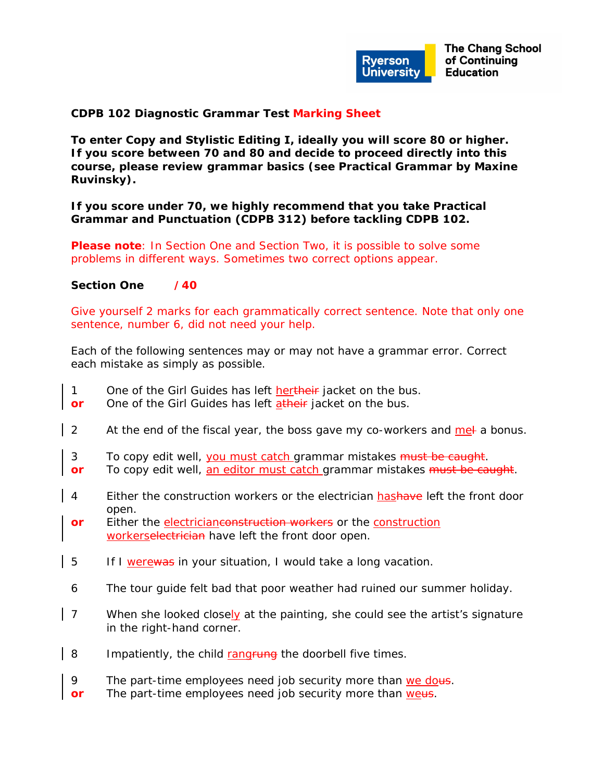

**The Chang School** of Continuing **Education** 

## **CDPB 102 Diagnostic Grammar Test Marking Sheet**

**To enter Copy and Stylistic Editing I, ideally you will score 80 or higher. If you score between 70 and 80 and decide to proceed directly into this course, please review grammar basics (see** *Practical Grammar* **by Maxine Ruvinsky).** 

**If you score under 70, we highly recommend that you take Practical Grammar and Punctuation (CDPB 312) before tackling CDPB 102.** 

**Please note**: In Section One and Section Two, it is possible to solve some problems in different ways. Sometimes two correct options appear.

## **Section One /40**

Give yourself 2 marks for each grammatically correct sentence. Note that only one sentence, number 6, did not need your help.

*Each of the following sentences may or may not have a grammar error. Correct each mistake as simply as possible.* 

- 1 One of the Girl Guides has left hertheir jacket on the bus.
- **or** One of the Girl Guides has left atheir jacket on the bus.
- 2 At the end of the fiscal year, the boss gave my co-workers and met a bonus.
- 3 To copy edit well, you must catch grammar mistakes must be caught.
- **or** To copy edit well, an editor must catch grammar mistakes must be caught.
- 4 Either the construction workers or the electrician hashave left the front door open.
- **or** Either the electricianconstruction workers or the construction workerselectrician have left the front door open.
- 5 If I werewas in your situation, I would take a long vacation.
- 6 The tour guide felt bad that poor weather had ruined our summer holiday.
- 7 When she looked closely at the painting, she could see the artist's signature in the right-hand corner.
- 8 Impatiently, the child rangrung the doorbell five times.
- 9 The part-time employees need job security more than we dous.
- **or** The part-time employees need job security more than weus.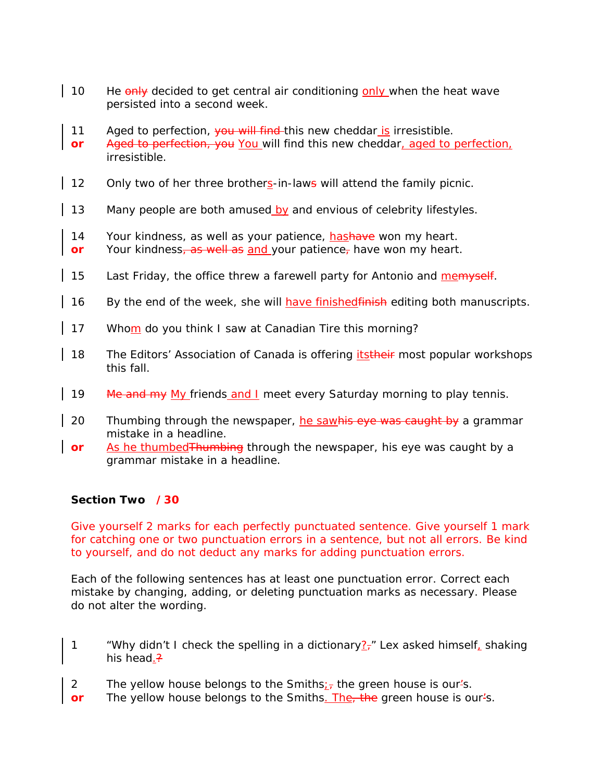- 10 He only decided to get central air conditioning only when the heat wave persisted into a second week.
- 11 Aged to perfection, you will find this new cheddar is irresistible.
- **or** Aged to perfection, you You will find this new cheddar, aged to perfection, irresistible.
- 12 Only two of her three brothers-in-laws will attend the family picnic.
- 13 Many people are both amused by and envious of celebrity lifestyles.
- 14 Your kindness, as well as your patience, hashave won my heart.
- **or** Your kindness, as well as and your patience, have won my heart.
- 15 Last Friday, the office threw a farewell party for Antonio and memyself.
- 16 By the end of the week, she will have finished finish editing both manuscripts.
- 17 Whom do you think I saw at Canadian Tire this morning?
- 18 The Editors' Association of Canada is offering *itstheir* most popular workshops this fall.
- 19 Me and my My friends and I meet every Saturday morning to play tennis.
- 20 Thumbing through the newspaper, he sawhis eye was caught by a grammar mistake in a headline.
- **or** As he thumbed Thumbing through the newspaper, his eye was caught by a grammar mistake in a headline.

## **Section Two /30**

Give yourself 2 marks for each perfectly punctuated sentence. Give yourself 1 mark for catching one or two punctuation errors in a sentence, but not all errors. Be kind to yourself, and do not deduct any marks for adding punctuation errors.

*Each of the following sentences has at least one punctuation error. Correct each mistake by changing, adding, or deleting punctuation marks as necessary. Please do not alter the wording.* 

- 1 "Why didn't I check the spelling in a dictionary $?$ <sup>-"</sup> Lex asked himself, shaking his head.?
- 2 The yellow house belongs to the Smiths; the green house is our 's.
- **or** The yellow house belongs to the Smiths. The<sub>r</sub> the green house is our<sup>1</sup>s.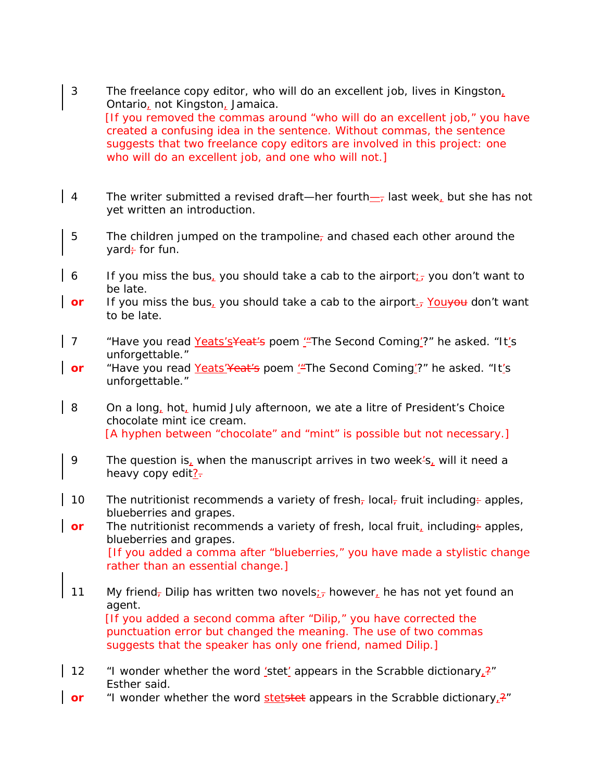- 3 The freelance copy editor, who will do an excellent job, lives in Kingston, Ontario, not Kingston, Jamaica. [If you removed the commas around "who will do an excellent job," you have created a confusing idea in the sentence. Without commas, the sentence suggests that two freelance copy editors are involved in this project: one who will do an excellent job, and one who will not.]
- 4 The writer submitted a revised draft—her fourth— $_7$  last week, but she has not yet written an introduction.
- 5 The children jumped on the trampoline<sub>r</sub> and chased each other around the yard $\div$  for fun.
- 6 If you miss the bus, you should take a cab to the airport<sub> $i$ </sub>, you don't want to be late.
- **or** If you miss the bus, you should take a cab to the airport<sub>-7</sub> You you don't want to be late.
- 7 Thave you read Yeats's Yeat's poem " The Second Coming"?" he asked. "It's unforgettable."
- **or** "Have you read Yeats' Yeat's poem "The Second Coming'?" he asked. "It's unforgettable."
- 8 On a long, hot, humid July afternoon, we ate a litre of President's Choice chocolate mint ice cream. [A hyphen between "chocolate" and "mint" is possible but not necessary.]
- 9 The question is, when the manuscript arrives in two week's, will it need a heavy copy edit?-
- 10 The nutritionist recommends a variety of fresh<sub> $\tau$ </sub> local, fruit including + apples, blueberries and grapes.
- **or** The nutritionist recommends a variety of fresh, local fruit, including + apples, blueberries and grapes. [If you added a comma after "blueberries," you have made a stylistic change rather than an essential change.]
- 11 My friend<sub>7</sub> Dilip has written two novels; however, he has not yet found an agent. [If you added a second comma after "Dilip," you have corrected the punctuation error but changed the meaning. The use of two commas suggests that the speaker has only one friend, named Dilip.]
- 12  $\cdot$  "I wonder whether the word 'stet' appears in the Scrabble dictionary<sub>1</sub>?" Esther said.
- **or** "I wonder whether the word *stetstet* appears in the Scrabble dictionary<sub>1</sub>?"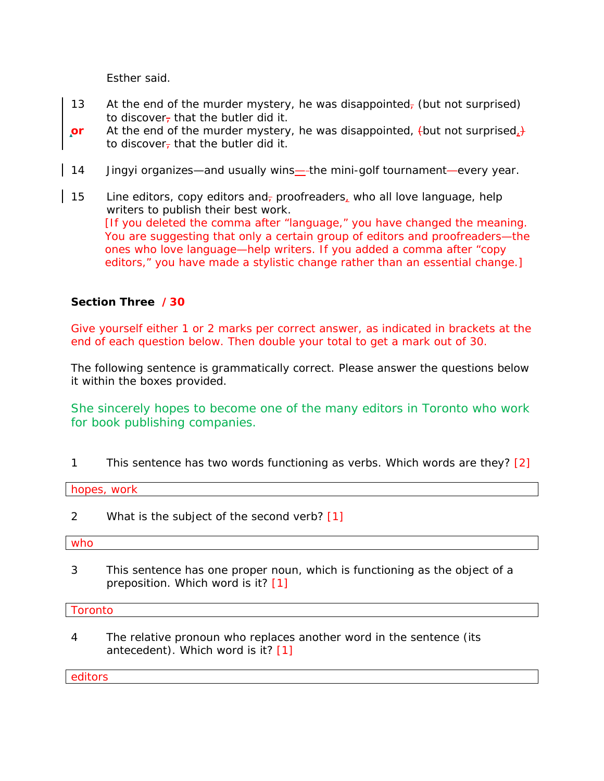Esther said.

- 13 At the end of the murder mystery, he was disappointed, (but not surprised) to discover, that the butler did it.
- **or** At the end of the murder mystery, he was disappointed, thut not surprised, to discover-that the butler did it.
- 14 Jingyi organizes—and usually wins— the mini-golf tournament—every year.
- 15 Line editors, copy editors and, proofreaders, who all love language, help writers to publish their best work. [If you deleted the comma after "language," you have changed the meaning. You are suggesting that only a certain group of editors and proofreaders—the ones who love language—help writers. If you added a comma after "copy editors," you have made a stylistic change rather than an essential change.]

## **Section Three /30**

Give yourself either 1 or 2 marks per correct answer, as indicated in brackets at the end of each question below. Then double your total to get a mark out of 30.

*The following sentence is grammatically correct. Please answer the questions below it within the boxes provided.* 

She sincerely hopes to become one of the many editors in Toronto who work for book publishing companies.

1 This sentence has two words functioning as verbs. Which words are they? [2]

*hopes, work*

2 What is the subject of the second verb? [1]

*who* 

3 This sentence has one proper noun, which is functioning as the object of a preposition. Which word is it? [1]

*Toronto* 

4 The relative pronoun *who* replaces another word in the sentence (its antecedent). Which word is it? [1]

*editors*